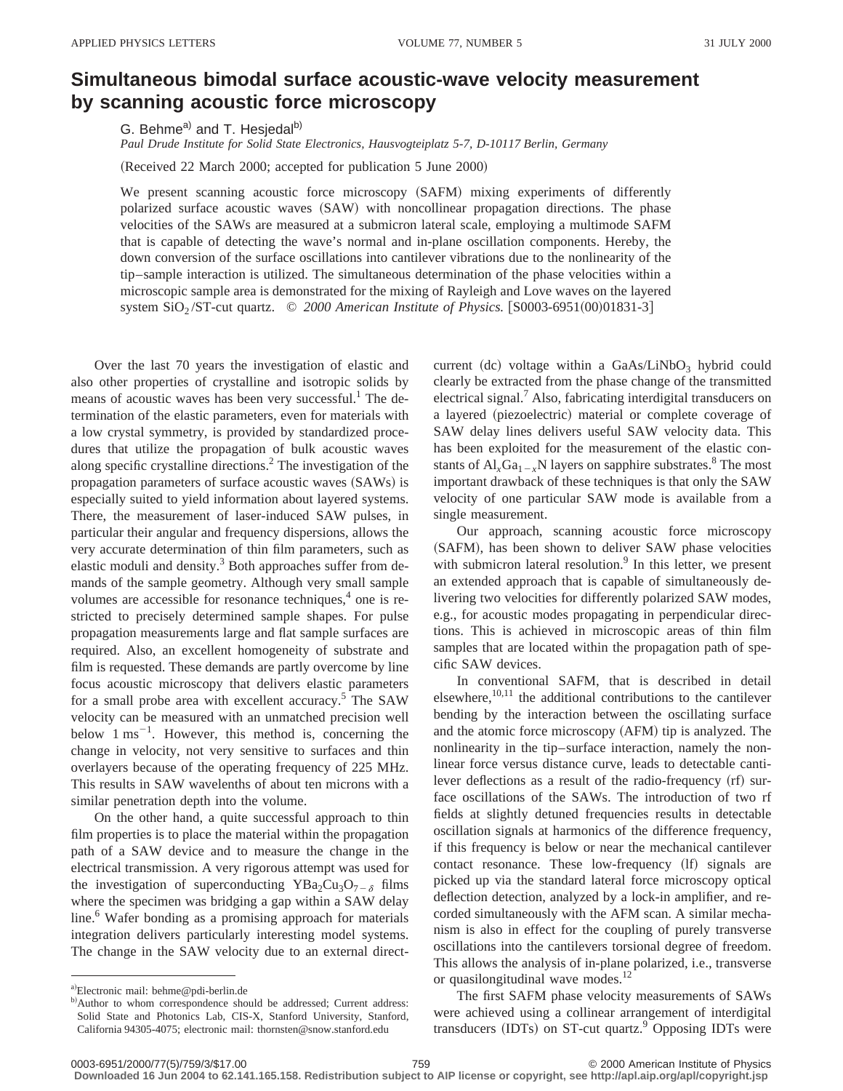## **Simultaneous bimodal surface acoustic-wave velocity measurement by scanning acoustic force microscopy**

G. Behme<sup>a)</sup> and T. Hesjedal<sup>b)</sup>

*Paul Drude Institute for Solid State Electronics, Hausvogteiplatz 5-7, D-10117 Berlin, Germany*

(Received 22 March 2000; accepted for publication 5 June 2000)

We present scanning acoustic force microscopy (SAFM) mixing experiments of differently polarized surface acoustic waves (SAW) with noncollinear propagation directions. The phase velocities of the SAWs are measured at a submicron lateral scale, employing a multimode SAFM that is capable of detecting the wave's normal and in-plane oscillation components. Hereby, the down conversion of the surface oscillations into cantilever vibrations due to the nonlinearity of the tip–sample interaction is utilized. The simultaneous determination of the phase velocities within a microscopic sample area is demonstrated for the mixing of Rayleigh and Love waves on the layered system  $SiO<sub>2</sub>/ST-cut$  quartz.  $© 2000$  American Institute of Physics. [S0003-6951(00)01831-3]

Over the last 70 years the investigation of elastic and also other properties of crystalline and isotropic solids by means of acoustic waves has been very successful.<sup>1</sup> The determination of the elastic parameters, even for materials with a low crystal symmetry, is provided by standardized procedures that utilize the propagation of bulk acoustic waves along specific crystalline directions.2 The investigation of the propagation parameters of surface acoustic waves (SAWs) is especially suited to yield information about layered systems. There, the measurement of laser-induced SAW pulses, in particular their angular and frequency dispersions, allows the very accurate determination of thin film parameters, such as elastic moduli and density.<sup>3</sup> Both approaches suffer from demands of the sample geometry. Although very small sample volumes are accessible for resonance techniques,<sup>4</sup> one is restricted to precisely determined sample shapes. For pulse propagation measurements large and flat sample surfaces are required. Also, an excellent homogeneity of substrate and film is requested. These demands are partly overcome by line focus acoustic microscopy that delivers elastic parameters for a small probe area with excellent accuracy. $5$  The SAW velocity can be measured with an unmatched precision well below  $1 \text{ ms}^{-1}$ . However, this method is, concerning the change in velocity, not very sensitive to surfaces and thin overlayers because of the operating frequency of 225 MHz. This results in SAW wavelenths of about ten microns with a similar penetration depth into the volume.

On the other hand, a quite successful approach to thin film properties is to place the material within the propagation path of a SAW device and to measure the change in the electrical transmission. A very rigorous attempt was used for the investigation of superconducting YBa<sub>2</sub>Cu<sub>3</sub>O<sub>7- $\delta$ </sub> films where the specimen was bridging a gap within a SAW delay line.<sup>6</sup> Wafer bonding as a promising approach for materials integration delivers particularly interesting model systems. The change in the SAW velocity due to an external directcurrent (dc) voltage within a GaAs/LiNbO<sub>3</sub> hybrid could clearly be extracted from the phase change of the transmitted electrical signal.<sup>7</sup> Also, fabricating interdigital transducers on a layered (piezoelectric) material or complete coverage of SAW delay lines delivers useful SAW velocity data. This has been exploited for the measurement of the elastic constants of  $AI_xGa_{1-x}N$  layers on sapphire substrates.<sup>8</sup> The most important drawback of these techniques is that only the SAW velocity of one particular SAW mode is available from a single measurement.

Our approach, scanning acoustic force microscopy (SAFM), has been shown to deliver SAW phase velocities with submicron lateral resolution.<sup>9</sup> In this letter, we present an extended approach that is capable of simultaneously delivering two velocities for differently polarized SAW modes, e.g., for acoustic modes propagating in perpendicular directions. This is achieved in microscopic areas of thin film samples that are located within the propagation path of specific SAW devices.

In conventional SAFM, that is described in detail elsewhere, $10,11$  the additional contributions to the cantilever bending by the interaction between the oscillating surface and the atomic force microscopy (AFM) tip is analyzed. The nonlinearity in the tip–surface interaction, namely the nonlinear force versus distance curve, leads to detectable cantilever deflections as a result of the radio-frequency  $(rf)$  surface oscillations of the SAWs. The introduction of two rf fields at slightly detuned frequencies results in detectable oscillation signals at harmonics of the difference frequency, if this frequency is below or near the mechanical cantilever contact resonance. These low-frequency (lf) signals are picked up via the standard lateral force microscopy optical deflection detection, analyzed by a lock-in amplifier, and recorded simultaneously with the AFM scan. A similar mechanism is also in effect for the coupling of purely transverse oscillations into the cantilevers torsional degree of freedom. This allows the analysis of in-plane polarized, i.e., transverse or quasilongitudinal wave modes. $^{12}$ 

The first SAFM phase velocity measurements of SAWs were achieved using a collinear arrangement of interdigital transducers  $(IDTs)$  on ST-cut quartz.<sup>9</sup> Opposing IDTs were

a)Electronic mail: behme@pdi-berlin.de

b)Author to whom correspondence should be addressed; Current address: Solid State and Photonics Lab, CIS-X, Stanford University, Stanford, California 94305-4075; electronic mail: thornsten@snow.stanford.edu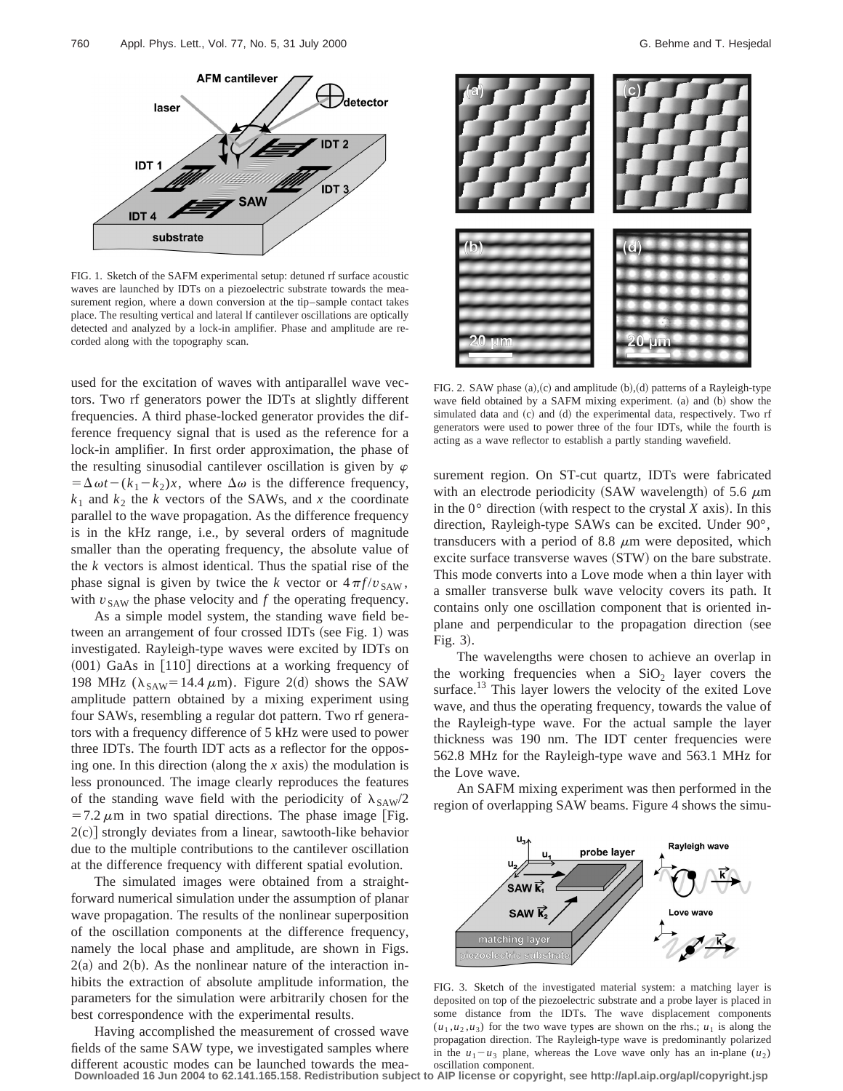

FIG. 1. Sketch of the SAFM experimental setup: detuned rf surface acoustic waves are launched by IDTs on a piezoelectric substrate towards the measurement region, where a down conversion at the tip–sample contact takes place. The resulting vertical and lateral lf cantilever oscillations are optically detected and analyzed by a lock-in amplifier. Phase and amplitude are recorded along with the topography scan.

used for the excitation of waves with antiparallel wave vectors. Two rf generators power the IDTs at slightly different frequencies. A third phase-locked generator provides the difference frequency signal that is used as the reference for a lock-in amplifier. In first order approximation, the phase of the resulting sinusodial cantilever oscillation is given by  $\varphi$  $= \Delta \omega t - (k_1 - k_2)x$ , where  $\Delta \omega$  is the difference frequency,  $k_1$  and  $k_2$  the *k* vectors of the SAWs, and *x* the coordinate parallel to the wave propagation. As the difference frequency is in the kHz range, i.e., by several orders of magnitude smaller than the operating frequency, the absolute value of the *k* vectors is almost identical. Thus the spatial rise of the phase signal is given by twice the *k* vector or  $4\pi f/v_{SAW}$ , with  $v_{\text{SAW}}$  the phase velocity and  $f$  the operating frequency.

As a simple model system, the standing wave field between an arrangement of four crossed IDTs (see Fig. 1) was investigated. Rayleigh-type waves were excited by IDTs on  $(001)$  GaAs in  $[110]$  directions at a working frequency of 198 MHz ( $\lambda_{SAW}$ =14.4  $\mu$ m). Figure 2(d) shows the SAW amplitude pattern obtained by a mixing experiment using four SAWs, resembling a regular dot pattern. Two rf generators with a frequency difference of 5 kHz were used to power three IDTs. The fourth IDT acts as a reflector for the opposing one. In this direction (along the  $x$  axis) the modulation is less pronounced. The image clearly reproduces the features of the standing wave field with the periodicity of  $\lambda_{SAW}/2$  $=7.2 \mu m$  in two spatial directions. The phase image [Fig.  $2(c)$ ] strongly deviates from a linear, sawtooth-like behavior due to the multiple contributions to the cantilever oscillation at the difference frequency with different spatial evolution.

The simulated images were obtained from a straightforward numerical simulation under the assumption of planar wave propagation. The results of the nonlinear superposition of the oscillation components at the difference frequency, namely the local phase and amplitude, are shown in Figs.  $2(a)$  and  $2(b)$ . As the nonlinear nature of the interaction inhibits the extraction of absolute amplitude information, the parameters for the simulation were arbitrarily chosen for the best correspondence with the experimental results.

Having accomplished the measurement of crossed wave fields of the same SAW type, we investigated samples where different acoustic modes can be launched towards the mea-



FIG. 2. SAW phase  $(a)$ , $(c)$  and amplitude  $(b)$ , $(d)$  patterns of a Rayleigh-type wave field obtained by a SAFM mixing experiment. (a) and (b) show the simulated data and (c) and (d) the experimental data, respectively. Two rf generators were used to power three of the four IDTs, while the fourth is acting as a wave reflector to establish a partly standing wavefield.

surement region. On ST-cut quartz, IDTs were fabricated with an electrode periodicity (SAW wavelength) of 5.6  $\mu$ m in the  $0^{\circ}$  direction (with respect to the crystal *X* axis). In this direction, Rayleigh-type SAWs can be excited. Under 90°, transducers with a period of 8.8  $\mu$ m were deposited, which excite surface transverse waves  $(STW)$  on the bare substrate. This mode converts into a Love mode when a thin layer with a smaller transverse bulk wave velocity covers its path. It contains only one oscillation component that is oriented inplane and perpendicular to the propagation direction (see Fig.  $3$ ).

The wavelengths were chosen to achieve an overlap in the working frequencies when a  $SiO<sub>2</sub>$  layer covers the surface.<sup>13</sup> This layer lowers the velocity of the exited Love wave, and thus the operating frequency, towards the value of the Rayleigh-type wave. For the actual sample the layer thickness was 190 nm. The IDT center frequencies were 562.8 MHz for the Rayleigh-type wave and 563.1 MHz for the Love wave.

An SAFM mixing experiment was then performed in the region of overlapping SAW beams. Figure 4 shows the simu-



FIG. 3. Sketch of the investigated material system: a matching layer is deposited on top of the piezoelectric substrate and a probe layer is placed in some distance from the IDTs. The wave displacement components  $(u_1, u_2, u_3)$  for the two wave types are shown on the rhs.;  $u_1$  is along the propagation direction. The Rayleigh-type wave is predominantly polarized in the  $u_1 - u_3$  plane, whereas the Love wave only has an in-plane  $(u_2)$ oscillation component.

**Downloaded 16 Jun 2004 to 62.141.165.158. Redistribution subject to AIP license or copyright, see http://apl.aip.org/apl/copyright.jsp**